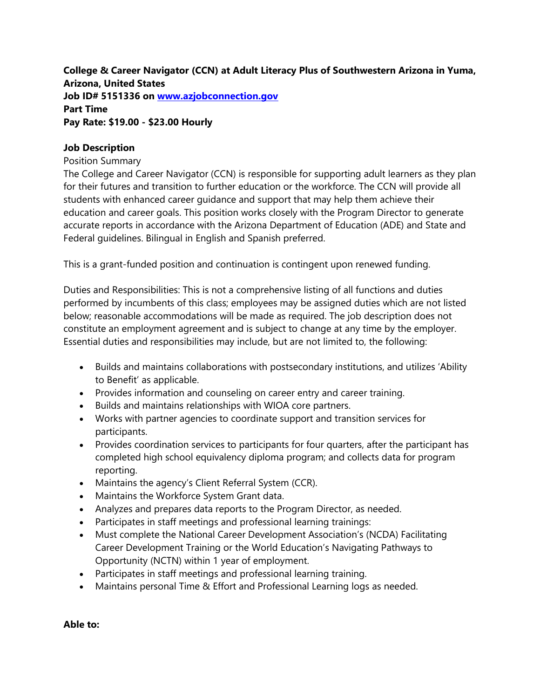**College & Career Navigator (CCN) at Adult Literacy Plus of Southwestern Arizona in Yuma, Arizona, United States Job ID# 5151336 on [www.azjobconnection.gov](http://www.azjobconnection.gov/) Part Time Pay Rate: \$19.00 - \$23.00 Hourly**

### **Job Description**

#### Position Summary

The College and Career Navigator (CCN) is responsible for supporting adult learners as they plan for their futures and transition to further education or the workforce. The CCN will provide all students with enhanced career guidance and support that may help them achieve their education and career goals. This position works closely with the Program Director to generate accurate reports in accordance with the Arizona Department of Education (ADE) and State and Federal guidelines. Bilingual in English and Spanish preferred.

This is a grant-funded position and continuation is contingent upon renewed funding.

Duties and Responsibilities: This is not a comprehensive listing of all functions and duties performed by incumbents of this class; employees may be assigned duties which are not listed below; reasonable accommodations will be made as required. The job description does not constitute an employment agreement and is subject to change at any time by the employer. Essential duties and responsibilities may include, but are not limited to, the following:

- Builds and maintains collaborations with postsecondary institutions, and utilizes 'Ability to Benefit' as applicable.
- Provides information and counseling on career entry and career training.
- Builds and maintains relationships with WIOA core partners.
- Works with partner agencies to coordinate support and transition services for participants.
- Provides coordination services to participants for four quarters, after the participant has completed high school equivalency diploma program; and collects data for program reporting.
- Maintains the agency's Client Referral System (CCR).
- Maintains the Workforce System Grant data.
- Analyzes and prepares data reports to the Program Director, as needed.
- Participates in staff meetings and professional learning trainings:
- Must complete the National Career Development Association's (NCDA) Facilitating Career Development Training or the World Education's Navigating Pathways to Opportunity (NCTN) within 1 year of employment.
- Participates in staff meetings and professional learning training.
- Maintains personal Time & Effort and Professional Learning logs as needed.

**Able to:**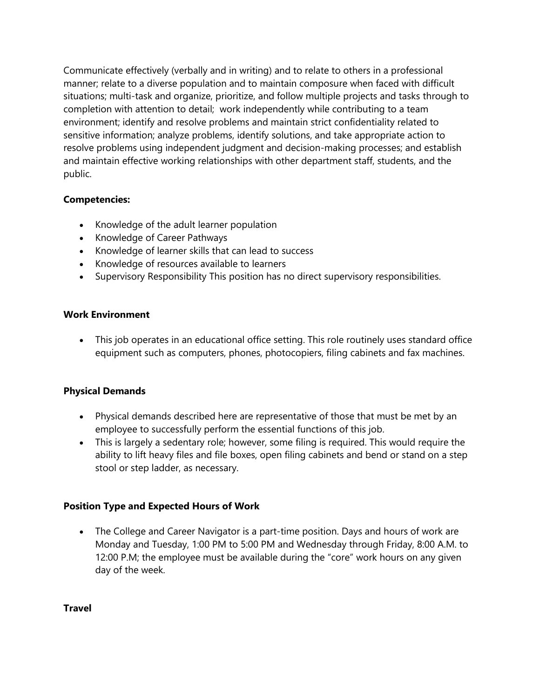Communicate effectively (verbally and in writing) and to relate to others in a professional manner; relate to a diverse population and to maintain composure when faced with difficult situations; multi-task and organize, prioritize, and follow multiple projects and tasks through to completion with attention to detail; work independently while contributing to a team environment; identify and resolve problems and maintain strict confidentiality related to sensitive information; analyze problems, identify solutions, and take appropriate action to resolve problems using independent judgment and decision-making processes; and establish and maintain effective working relationships with other department staff, students, and the public.

# **Competencies:**

- Knowledge of the adult learner population
- Knowledge of Career Pathways
- Knowledge of learner skills that can lead to success
- Knowledge of resources available to learners
- Supervisory Responsibility This position has no direct supervisory responsibilities.

## **Work Environment**

 This job operates in an educational office setting. This role routinely uses standard office equipment such as computers, phones, photocopiers, filing cabinets and fax machines.

## **Physical Demands**

- Physical demands described here are representative of those that must be met by an employee to successfully perform the essential functions of this job.
- This is largely a sedentary role; however, some filing is required. This would require the ability to lift heavy files and file boxes, open filing cabinets and bend or stand on a step stool or step ladder, as necessary.

## **Position Type and Expected Hours of Work**

• The College and Career Navigator is a part-time position. Days and hours of work are Monday and Tuesday, 1:00 PM to 5:00 PM and Wednesday through Friday, 8:00 A.M. to 12:00 P.M; the employee must be available during the "core" work hours on any given day of the week.

**Travel**